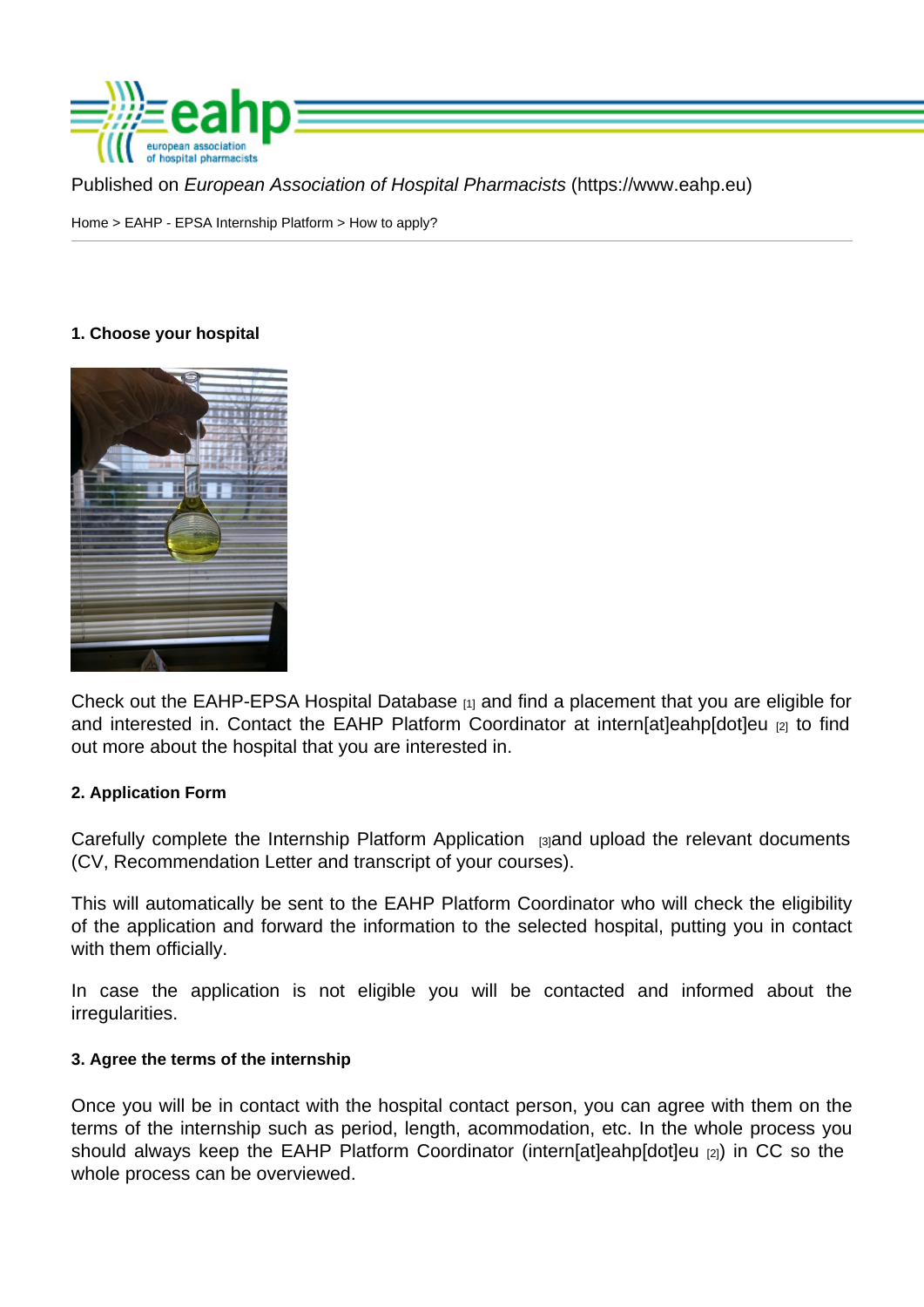Published on European Association of Hospital Pharmacists (https://www.eahp.eu)

Home > EAHP - EPSA Internship Platform > How to apply?

1. Choose your hospital

Check out the EAHP-EPSA Hospital Database [1] and find a placement that you are eligible for and interested in. Contact the EAHP Platform Coordinator at intern[at]eahp[dot]eu [2] to find out more about the hospital that you are interested in.

### 2. Application F[orm](http://www.eahp.eu/students/eahp-epsa-internship-platform/hospital-database)

Carefully complete the Internship Platform Application [3]and upload the relevant documents (CV, Recommendation Letter and transcript of your courses).

This will automatically be sent to the EAHP Platform Coordinator who will check the eligibility of the application and f[orward the information to the se](https://form.jotformeu.com/70052120469346)lected hospital, putting you in contact with them officially.

In case the application is not eligible you will be contacted and informed about the irregularities.

3. Agree the terms of the internship

Once you will be in contact with the hospital contact person, you can agree with them on the terms of the internship such as period, length, acommodation, etc. In the whole process you should always keep the EAHP Platform Coordinator (intern[at]eahp[dot]eu [2]) in CC so the whole process can be overviewed.